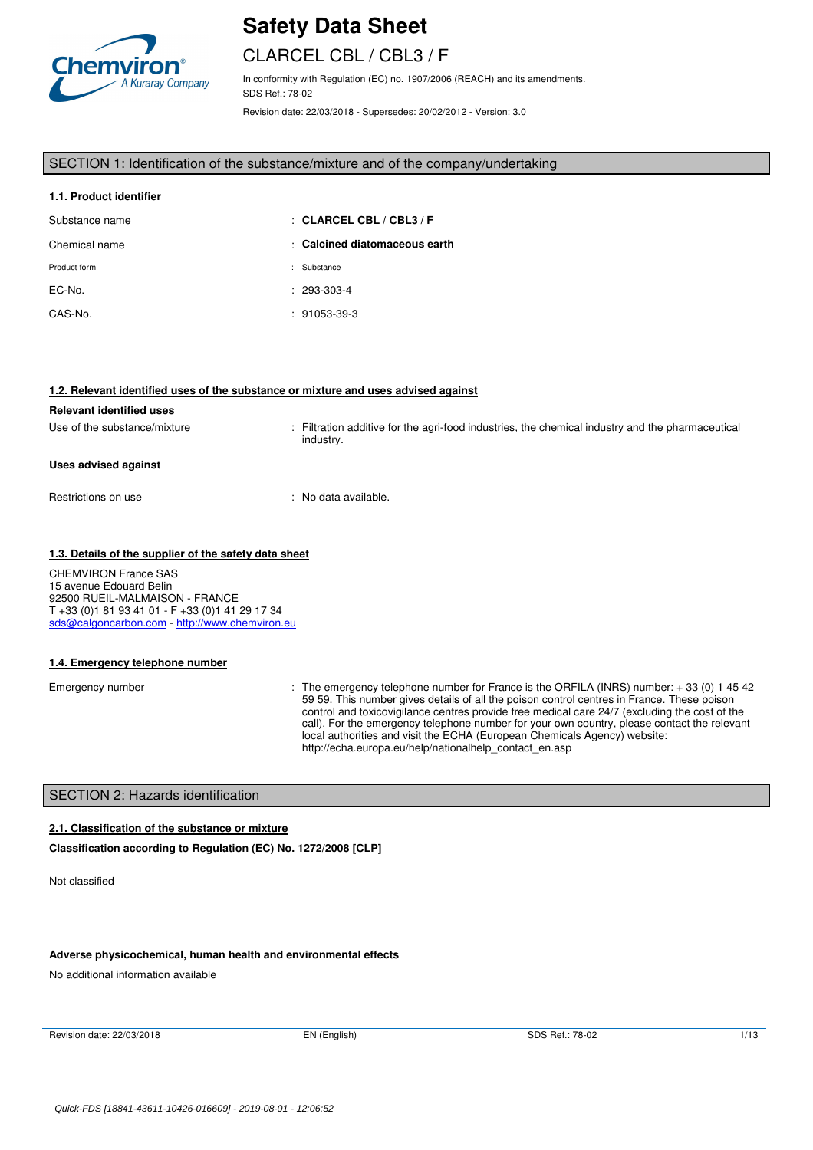

# CLARCEL CBL / CBL3 / F

In conformity with Regulation (EC) no. 1907/2006 (REACH) and its amendments. SDS Ref.: 78-02

Revision date: 22/03/2018 - Supersedes: 20/02/2012 - Version: 3.0

#### SECTION 1: Identification of the substance/mixture and of the company/undertaking

| 1.1. Product identifier |                               |
|-------------------------|-------------------------------|
| Substance name          | $\pm$ CLARCEL CBL / CBL3 / F  |
| Chemical name           | : Calcined diatomaceous earth |
| Product form            | Substance                     |
| EC-No.                  | $: 293-303-4$                 |
| CAS-No.                 | $: 91053-39-3$                |

#### **1.2. Relevant identified uses of the substance or mixture and uses advised against**

# **Relevant identified uses**  Use of the substance/mixture : Filtration additive for the agri-food industries, the chemical industry and the pharmaceutical industry. **Uses advised against**  Restrictions on use : No data available.

#### **1.3. Details of the supplier of the safety data sheet**

CHEMVIRON France SAS 15 avenue Edouard Belin 92500 RUEIL-MALMAISON - FRANCE T +33 (0)1 81 93 41 01 - F +33 (0)1 41 29 17 34 sds@calgoncarbon.com - http://www.chemviron.eu

#### **1.4. Emergency telephone number**

Emergency number : The emergency telephone number for France is the ORFILA (INRS) number: +33 (0) 14542 59 59. This number gives details of all the poison control centres in France. These poison control and toxicovigilance centres provide free medical care 24/7 (excluding the cost of the call). For the emergency telephone number for your own country, please contact the relevant local authorities and visit the ECHA (European Chemicals Agency) website: http://echa.europa.eu/help/nationalhelp\_contact\_en.asp

### SECTION 2: Hazards identification

#### **2.1. Classification of the substance or mixture**

**Classification according to Regulation (EC) No. 1272/2008 [CLP]** 

Not classified

#### **Adverse physicochemical, human health and environmental effects**

No additional information available

Revision date: 22/03/2018 **EN (English)** SDS Ref.: 78-02 1/13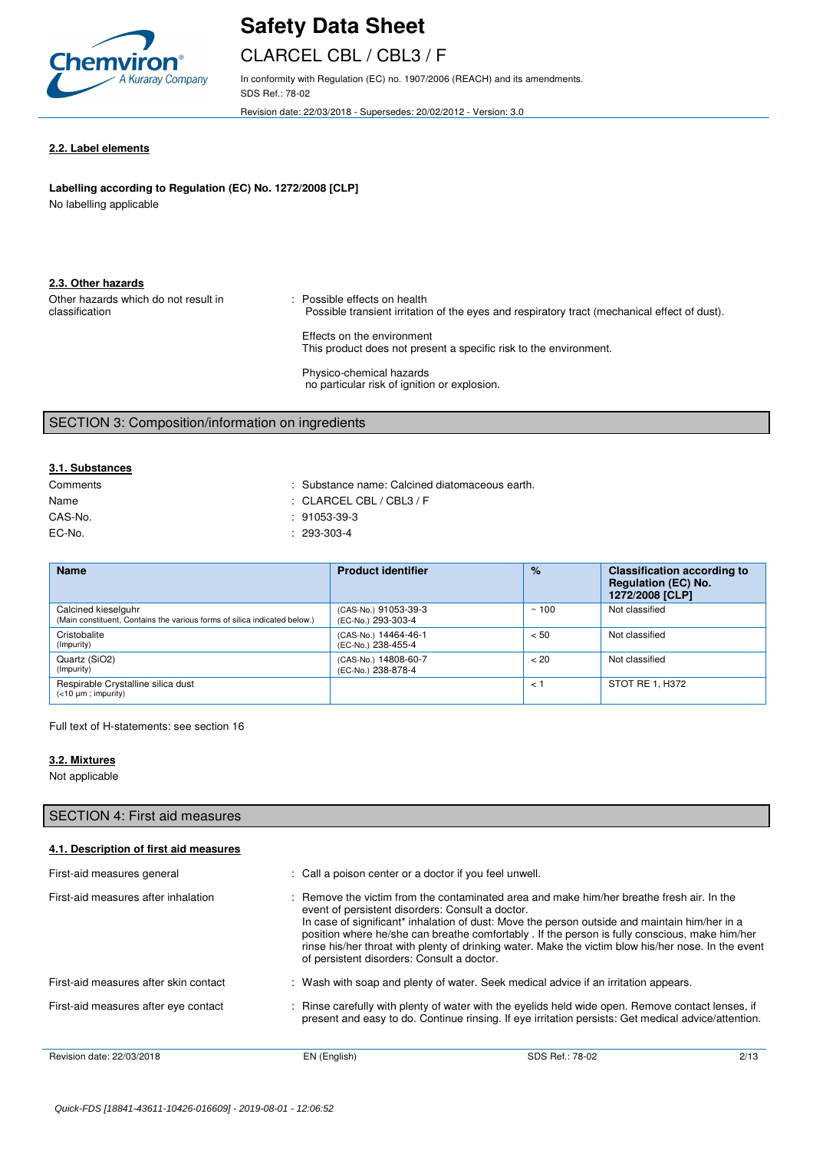

# CLARCEL CBL / CBL3 / F

In conformity with Regulation (EC) no. 1907/2006 (REACH) and its amendments. SDS Ref.: 78-02

Revision date: 22/03/2018 - Supersedes: 20/02/2012 - Version: 3.0

#### **2.2. Label elements**

## Labelling according to Regulation (EC) No. 1272/2008 [CLP]

No labelling applicable

|  | 2.3. Other hazards |  |
|--|--------------------|--|
|  |                    |  |

Other hazards which do not result in classification : Possible effects on health Possible transient irritation of the eyes and respiratory tract (mechanical effect of dust). Effects on the environment

This product does not present a specific risk to the environment.

Physico-chemical hazards no particular risk of ignition or explosion.

## SECTION 3: Composition/information on ingredients

### **3.1. Substances**

| Comments | : Substance name: Calcined diatomaceous earth. |
|----------|------------------------------------------------|
| Name     | : CLARCEL CBL / CBL3 / F                       |
| CAS-No.  | $: 91053-39-3$                                 |
| EC-No.   | $: 293-303-4$                                  |

| <b>Name</b>                                                                                      | <b>Product identifier</b>                  | $\%$         | <b>Classification according to</b><br><b>Regulation (EC) No.</b><br>1272/2008 [CLP] |
|--------------------------------------------------------------------------------------------------|--------------------------------------------|--------------|-------------------------------------------------------------------------------------|
| Calcined kieselguhr<br>(Main constituent, Contains the various forms of silica indicated below.) | (CAS-No.) 91053-39-3<br>(EC-No.) 293-303-4 | ~100         | Not classified                                                                      |
| Cristobalite<br>(Impurity)                                                                       | (CAS-No.) 14464-46-1<br>(EC-No.) 238-455-4 | < 50         | Not classified                                                                      |
| Quartz (SiO2)<br>(Impurity)                                                                      | (CAS-No.) 14808-60-7<br>(EC-No.) 238-878-4 | < 20         | Not classified                                                                      |
| Respirable Crystalline silica dust<br>$(<10 \mu m$ ; impurity)                                   |                                            | $\lt$ $\sim$ | STOT RE 1, H372                                                                     |

Full text of H-statements: see section 16

#### **3.2. Mixtures**

Not applicable

| SECTION 4: First aid measures          |                                                                                                |                                                                                                                                                                                                                                                                                                                                                                                                                |      |
|----------------------------------------|------------------------------------------------------------------------------------------------|----------------------------------------------------------------------------------------------------------------------------------------------------------------------------------------------------------------------------------------------------------------------------------------------------------------------------------------------------------------------------------------------------------------|------|
| 4.1. Description of first aid measures |                                                                                                |                                                                                                                                                                                                                                                                                                                                                                                                                |      |
| First-aid measures general             | : Call a poison center or a doctor if you feel unwell.                                         |                                                                                                                                                                                                                                                                                                                                                                                                                |      |
| First-aid measures after inhalation    | event of persistent disorders: Consult a doctor.<br>of persistent disorders: Consult a doctor. | : Remove the victim from the contaminated area and make him/her breathe fresh air. In the<br>In case of significant <sup>*</sup> inhalation of dust: Move the person outside and maintain him/her in a<br>position where he/she can breathe comfortably. If the person is fully conscious, make him/her<br>rinse his/her throat with plenty of drinking water. Make the victim blow his/her nose. In the event |      |
| First-aid measures after skin contact  |                                                                                                | : Wash with soap and plenty of water. Seek medical advice if an irritation appears.                                                                                                                                                                                                                                                                                                                            |      |
| First-aid measures after eye contact   |                                                                                                | : Rinse carefully with plenty of water with the eyelids held wide open. Remove contact lenses, if<br>present and easy to do. Continue rinsing. If eye irritation persists: Get medical advice/attention.                                                                                                                                                                                                       |      |
| Revision date: 22/03/2018              | EN (English)                                                                                   | SDS Ref.: 78-02                                                                                                                                                                                                                                                                                                                                                                                                | 2/13 |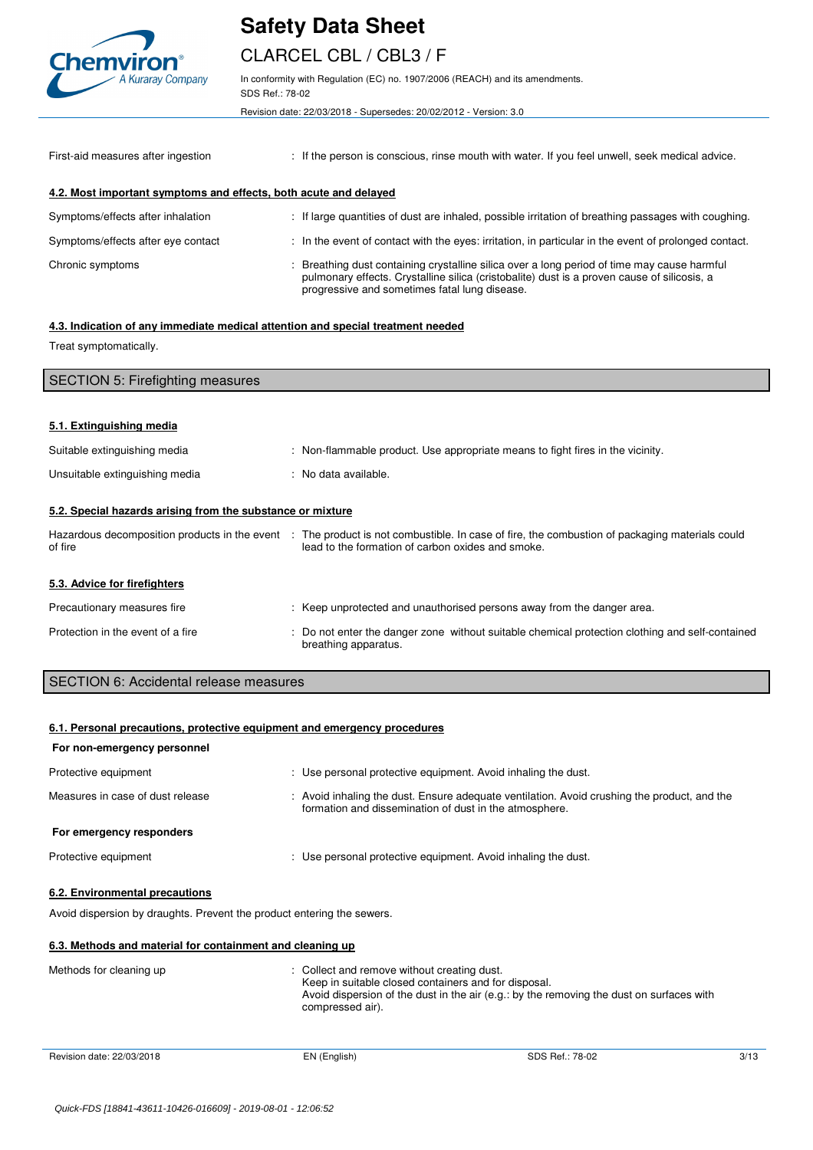

# CLARCEL CBL / CBL3 / F

In conformity with Regulation (EC) no. 1907/2006 (REACH) and its amendments. SDS Ref.: 78-02

Revision date: 22/03/2018 - Supersedes: 20/02/2012 - Version: 3.0

| First-aid measures after ingestion                               | : If the person is conscious, rinse mouth with water. If you feel unwell, seek medical advice.                                                                                                                                              |
|------------------------------------------------------------------|---------------------------------------------------------------------------------------------------------------------------------------------------------------------------------------------------------------------------------------------|
| 4.2. Most important symptoms and effects, both acute and delayed |                                                                                                                                                                                                                                             |
| Symptoms/effects after inhalation                                | : If large quantities of dust are inhaled, possible irritation of breathing passages with coughing.                                                                                                                                         |
| Symptoms/effects after eye contact                               | : In the event of contact with the eyes: irritation, in particular in the event of prolonged contact.                                                                                                                                       |
| Chronic symptoms                                                 | : Breathing dust containing crystalline silica over a long period of time may cause harmful<br>pulmonary effects. Crystalline silica (cristobalite) dust is a proven cause of silicosis, a<br>progressive and sometimes fatal lung disease. |

#### **4.3. Indication of any immediate medical attention and special treatment needed**

Treat symptomatically.

| <b>SECTION 5: Firefighting measures</b>                               |  |                                                                                                                                                                                                   |
|-----------------------------------------------------------------------|--|---------------------------------------------------------------------------------------------------------------------------------------------------------------------------------------------------|
|                                                                       |  |                                                                                                                                                                                                   |
| 5.1. Extinguishing media                                              |  |                                                                                                                                                                                                   |
| Suitable extinguishing media                                          |  | : Non-flammable product. Use appropriate means to fight fires in the vicinity.                                                                                                                    |
| Unsuitable extinguishing media                                        |  | : No data available.                                                                                                                                                                              |
| 5.2. Special hazards arising from the substance or mixture<br>of fire |  | Hazardous decomposition products in the event : The product is not combustible. In case of fire, the combustion of packaging materials could<br>lead to the formation of carbon oxides and smoke. |
| 5.3. Advice for firefighters                                          |  |                                                                                                                                                                                                   |
| Precautionary measures fire                                           |  | : Keep unprotected and unauthorised persons away from the danger area.                                                                                                                            |
| Protection in the event of a fire                                     |  | : Do not enter the danger zone without suitable chemical protection clothing and self-contained<br>breathing apparatus.                                                                           |

SECTION 6: Accidental release measures

| 6.1. Personal precautions, protective equipment and emergency procedures |                                                                                                                                                                                                                   |  |
|--------------------------------------------------------------------------|-------------------------------------------------------------------------------------------------------------------------------------------------------------------------------------------------------------------|--|
| For non-emergency personnel                                              |                                                                                                                                                                                                                   |  |
| Protective equipment                                                     | : Use personal protective equipment. Avoid inhaling the dust.                                                                                                                                                     |  |
| Measures in case of dust release                                         | : Avoid inhaling the dust. Ensure adequate ventilation. Avoid crushing the product, and the<br>formation and dissemination of dust in the atmosphere.                                                             |  |
| For emergency responders                                                 |                                                                                                                                                                                                                   |  |
| Protective equipment                                                     | : Use personal protective equipment. Avoid inhaling the dust.                                                                                                                                                     |  |
| 6.2. Environmental precautions                                           |                                                                                                                                                                                                                   |  |
| Avoid dispersion by draughts. Prevent the product entering the sewers.   |                                                                                                                                                                                                                   |  |
| 6.3. Methods and material for containment and cleaning up                |                                                                                                                                                                                                                   |  |
| Methods for cleaning up                                                  | Collect and remove without creating dust.<br>Keep in suitable closed containers and for disposal.<br>Avoid dispersion of the dust in the air (e.g.: by the removing the dust on surfaces with<br>compressed air). |  |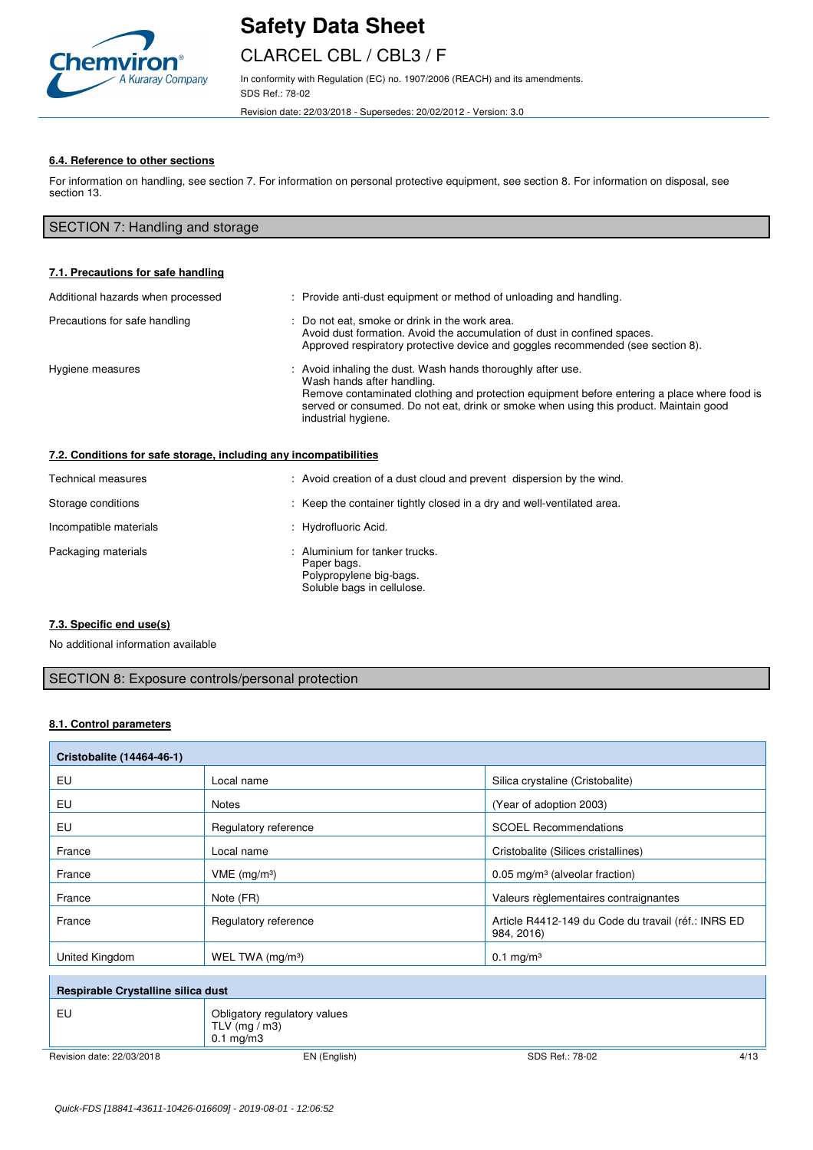

## CLARCEL CBL / CBL3 / F

In conformity with Regulation (EC) no. 1907/2006 (REACH) and its amendments. SDS Ref.: 78-02

Revision date: 22/03/2018 - Supersedes: 20/02/2012 - Version: 3.0

### **6.4. Reference to other sections**

For information on handling, see section 7. For information on personal protective equipment, see section 8. For information on disposal, see section 13.

## SECTION 7: Handling and storage

| 7.1. Precautions for safe handling                                |                                                                                                                                                                                                                                                                                                        |
|-------------------------------------------------------------------|--------------------------------------------------------------------------------------------------------------------------------------------------------------------------------------------------------------------------------------------------------------------------------------------------------|
| Additional hazards when processed                                 | : Provide anti-dust equipment or method of unloading and handling.                                                                                                                                                                                                                                     |
| Precautions for safe handling                                     | : Do not eat, smoke or drink in the work area.<br>Avoid dust formation. Avoid the accumulation of dust in confined spaces.<br>Approved respiratory protective device and goggles recommended (see section 8).                                                                                          |
| Hygiene measures                                                  | Avoid inhaling the dust. Wash hands thoroughly after use.<br>Wash hands after handling.<br>Remove contaminated clothing and protection equipment before entering a place where food is<br>served or consumed. Do not eat, drink or smoke when using this product. Maintain good<br>industrial hygiene. |
| 7.2. Conditions for safe storage, including any incompatibilities |                                                                                                                                                                                                                                                                                                        |
| Technical measures                                                | : Avoid creation of a dust cloud and prevent dispersion by the wind.                                                                                                                                                                                                                                   |
| Storage conditions                                                | : Keep the container tightly closed in a dry and well-ventilated area.                                                                                                                                                                                                                                 |
| Incompatible materials                                            | : Hydrofluoric Acid.                                                                                                                                                                                                                                                                                   |
| Packaging materials                                               | Aluminium for tanker trucks.<br>Paper bags.<br>Polypropylene big-bags.<br>Soluble bags in cellulose.                                                                                                                                                                                                   |

### **7.3. Specific end use(s)**

No additional information available

### SECTION 8: Exposure controls/personal protection

#### **8.1. Control parameters**

| Cristobalite (14464-46-1)          |                                                                         |                                                                   |
|------------------------------------|-------------------------------------------------------------------------|-------------------------------------------------------------------|
| EU                                 | Local name                                                              | Silica crystaline (Cristobalite)                                  |
| EU                                 | <b>Notes</b>                                                            | (Year of adoption 2003)                                           |
| EU                                 | Regulatory reference                                                    | <b>SCOEL Recommendations</b>                                      |
| France                             | Local name                                                              | Cristobalite (Silices cristallines)                               |
| France                             | $VME$ (mg/m <sup>3</sup> )                                              | $0.05$ mg/m <sup>3</sup> (alveolar fraction)                      |
| France                             | Note (FR)                                                               | Valeurs règlementaires contraignantes                             |
| France                             | Regulatory reference                                                    | Article R4412-149 du Code du travail (réf.: INRS ED<br>984, 2016) |
| United Kingdom                     | WEL TWA $(mg/m3)$                                                       | $0.1 \text{ mg/m}^3$                                              |
| Respirable Crystalline silica dust |                                                                         |                                                                   |
| EU                                 | Obligatory regulatory values<br>TLV ( $mg/m3$ )<br>$0.1 \text{ mg/m}$ 3 |                                                                   |
| Revision date: 22/03/2018          | EN (English)                                                            | 4/13<br>SDS Ref.: 78-02                                           |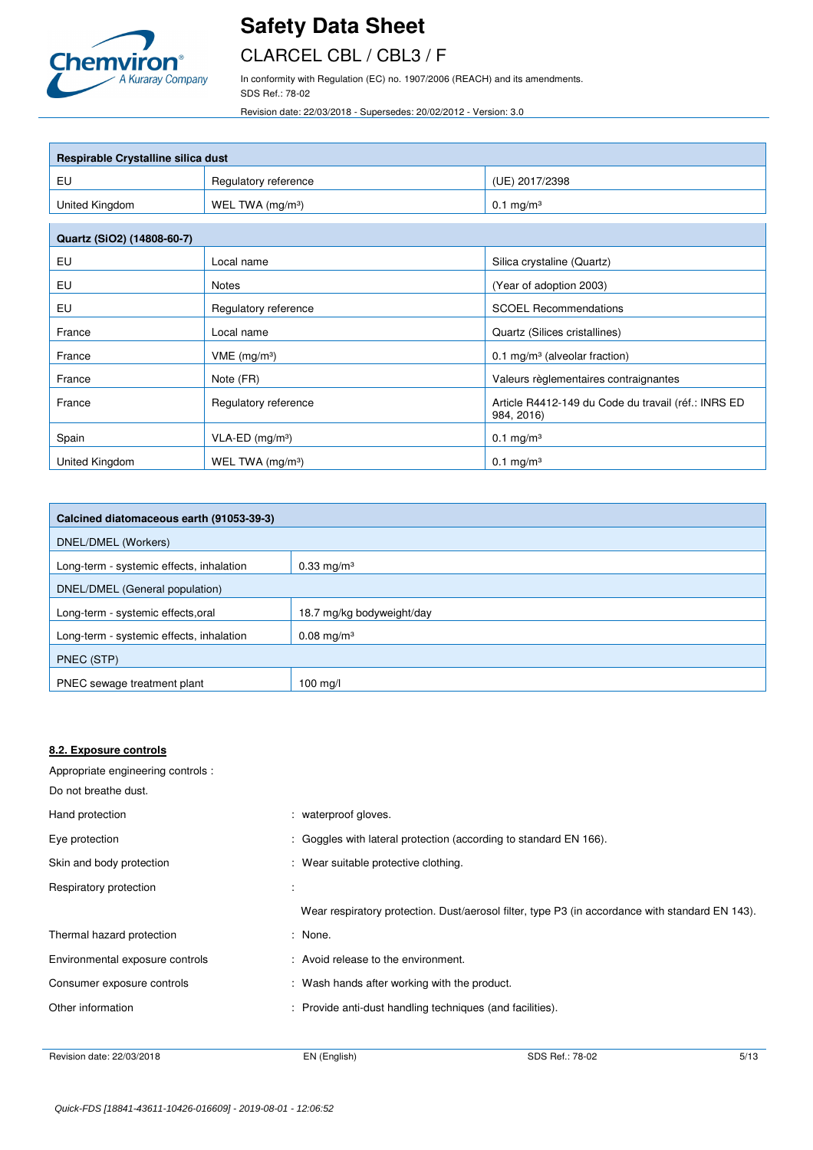

## CLARCEL CBL / CBL3 / F

In conformity with Regulation (EC) no. 1907/2006 (REACH) and its amendments. SDS Ref.: 78-02

Revision date: 22/03/2018 - Supersedes: 20/02/2012 - Version: 3.0

| Respirable Crystalline silica dust |                              |                                                                   |  |  |
|------------------------------------|------------------------------|-------------------------------------------------------------------|--|--|
| EU                                 | Regulatory reference         | (UE) 2017/2398                                                    |  |  |
| United Kingdom                     | WEL TWA (mg/m <sup>3</sup> ) | $0.1 \text{ mg/m}^3$                                              |  |  |
| Quartz (SiO2) (14808-60-7)         |                              |                                                                   |  |  |
| EU                                 | Local name                   | Silica crystaline (Quartz)                                        |  |  |
| EU                                 | <b>Notes</b>                 | (Year of adoption 2003)                                           |  |  |
| EU                                 | Regulatory reference         | <b>SCOEL Recommendations</b>                                      |  |  |
| France                             | Local name                   | Quartz (Silices cristallines)                                     |  |  |
| France                             | $VME$ (mg/m <sup>3</sup> )   | 0.1 mg/m <sup>3</sup> (alveolar fraction)                         |  |  |
| France                             | Note (FR)                    | Valeurs règlementaires contraignantes                             |  |  |
| France                             | Regulatory reference         | Article R4412-149 du Code du travail (réf.: INRS ED<br>984, 2016) |  |  |
| Spain                              | VLA-ED (mg/m <sup>3</sup> )  | $0.1 \text{ mg/m}^3$                                              |  |  |
| United Kingdom                     | WEL TWA $(mg/m3)$            | $0.1 \text{ mg/m}^3$                                              |  |  |

| Calcined diatomaceous earth (91053-39-3) |                           |  |
|------------------------------------------|---------------------------|--|
| DNEL/DMEL (Workers)                      |                           |  |
| Long-term - systemic effects, inhalation | $0.33 \,\mathrm{mg/m^3}$  |  |
| DNEL/DMEL (General population)           |                           |  |
| Long-term - systemic effects, oral       | 18.7 mg/kg bodyweight/day |  |
| Long-term - systemic effects, inhalation | $0.08 \text{ mg/m}^3$     |  |
| PNEC (STP)                               |                           |  |
| PNEC sewage treatment plant              | $100$ mg/l                |  |

#### **8.2. Exposure controls**

Appropriate engineering controls : Do not breathe dust.

| Hand protection                 | : waterproof gloves.                                                                            |
|---------------------------------|-------------------------------------------------------------------------------------------------|
| Eye protection                  | : Goggles with lateral protection (according to standard EN 166).                               |
| Skin and body protection        | : Wear suitable protective clothing.                                                            |
| Respiratory protection          |                                                                                                 |
|                                 | Wear respiratory protection. Dust/aerosol filter, type P3 (in accordance with standard EN 143). |
| Thermal hazard protection       | : None.                                                                                         |
| Environmental exposure controls | : Avoid release to the environment.                                                             |
| Consumer exposure controls      | : Wash hands after working with the product.                                                    |
| Other information               | : Provide anti-dust handling techniques (and facilities).                                       |
|                                 |                                                                                                 |

Revision date: 22/03/2018 EN (English) EN (English) SDS Ref.: 78-02 5/13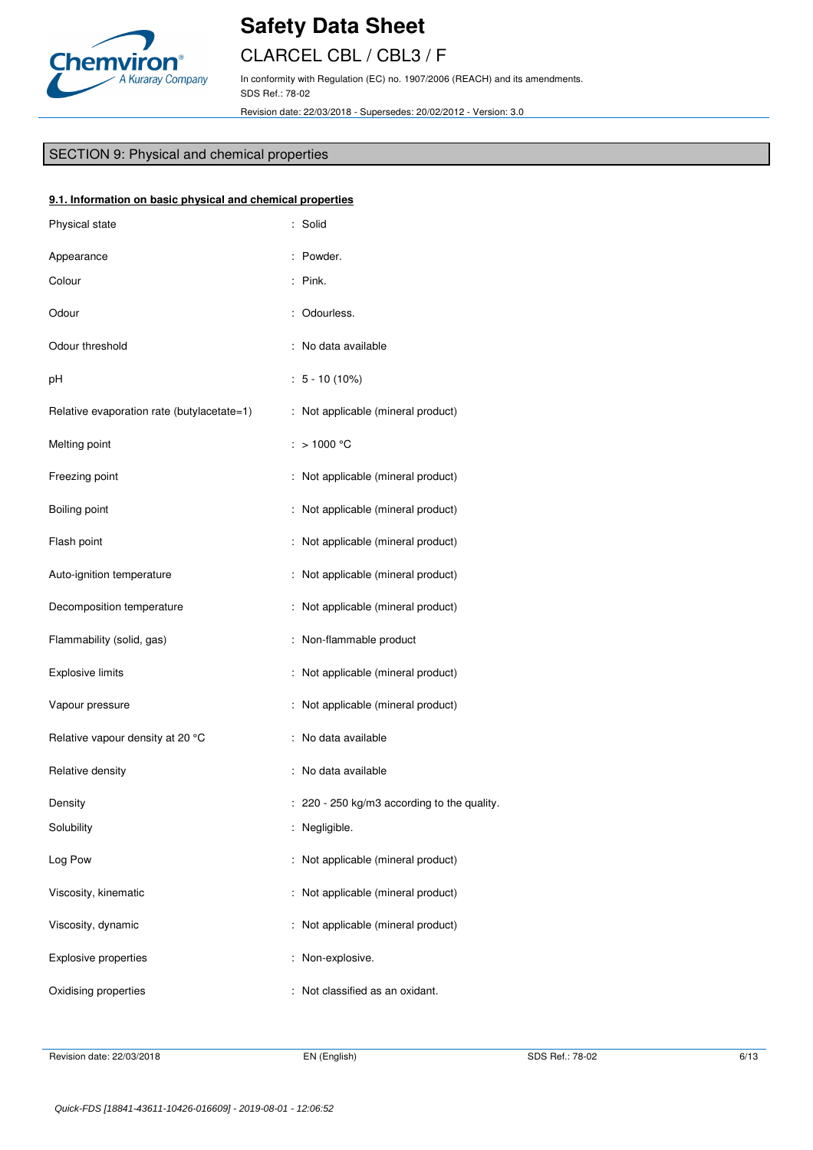

# CLARCEL CBL / CBL3 / F

In conformity with Regulation (EC) no. 1907/2006 (REACH) and its amendments. SDS Ref.: 78-02

Revision date: 22/03/2018 - Supersedes: 20/02/2012 - Version: 3.0

## SECTION 9: Physical and chemical properties

| 9.1. Information on basic physical and chemical properties |                                             |  |  |  |
|------------------------------------------------------------|---------------------------------------------|--|--|--|
| Physical state                                             | : Solid                                     |  |  |  |
| Appearance                                                 | : Powder.                                   |  |  |  |
| Colour                                                     | $:$ Pink.                                   |  |  |  |
| Odour                                                      | : Odourless.                                |  |  |  |
| Odour threshold                                            | : No data available                         |  |  |  |
| pH                                                         | $: 5 - 10(10\%)$                            |  |  |  |
| Relative evaporation rate (butylacetate=1)                 | : Not applicable (mineral product)          |  |  |  |
| Melting point                                              | : > 1000 °C                                 |  |  |  |
| Freezing point                                             | : Not applicable (mineral product)          |  |  |  |
| Boiling point                                              | : Not applicable (mineral product)          |  |  |  |
| Flash point                                                | : Not applicable (mineral product)          |  |  |  |
| Auto-ignition temperature                                  | : Not applicable (mineral product)          |  |  |  |
| Decomposition temperature                                  | : Not applicable (mineral product)          |  |  |  |
| Flammability (solid, gas)                                  | : Non-flammable product                     |  |  |  |
| <b>Explosive limits</b>                                    | : Not applicable (mineral product)          |  |  |  |
| Vapour pressure                                            | : Not applicable (mineral product)          |  |  |  |
| Relative vapour density at 20 °C                           | : No data available                         |  |  |  |
| Relative density                                           | : No data available                         |  |  |  |
| Density                                                    | : 220 - 250 kg/m3 according to the quality. |  |  |  |
| Solubility                                                 | : Negligible.                               |  |  |  |
| Log Pow                                                    | : Not applicable (mineral product)          |  |  |  |
| Viscosity, kinematic                                       | : Not applicable (mineral product)          |  |  |  |
| Viscosity, dynamic                                         | : Not applicable (mineral product)          |  |  |  |
| Explosive properties                                       | : Non-explosive.                            |  |  |  |
| Oxidising properties                                       | : Not classified as an oxidant.             |  |  |  |
|                                                            |                                             |  |  |  |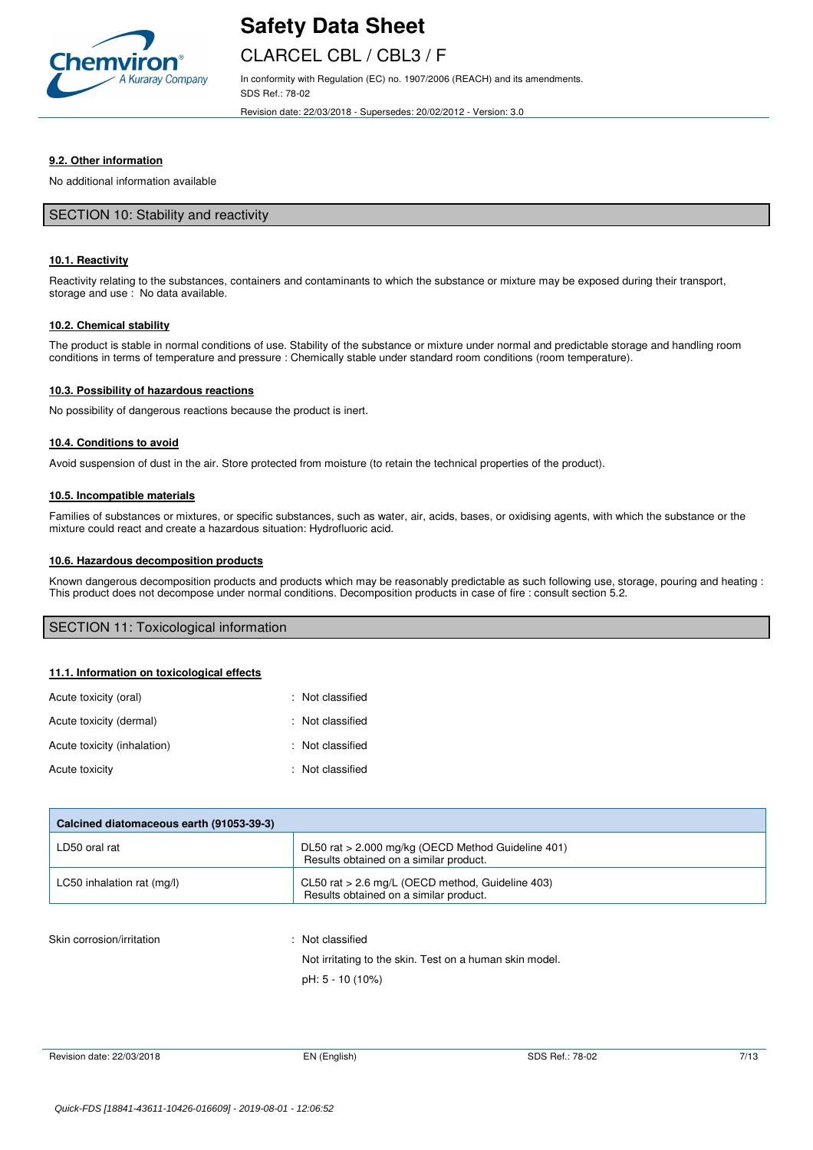

## CLARCEL CBL / CBL3 / F

In conformity with Regulation (EC) no. 1907/2006 (REACH) and its amendments. SDS Ref.: 78-02

Revision date: 22/03/2018 - Supersedes: 20/02/2012 - Version: 3.0

#### **9.2. Other information**

No additional information available

#### SECTION 10: Stability and reactivity

#### **10.1. Reactivity**

Reactivity relating to the substances, containers and contaminants to which the substance or mixture may be exposed during their transport, storage and use : No data available.

#### **10.2. Chemical stability**

The product is stable in normal conditions of use. Stability of the substance or mixture under normal and predictable storage and handling room conditions in terms of temperature and pressure : Chemically stable under standard room conditions (room temperature).

#### **10.3. Possibility of hazardous reactions**

No possibility of dangerous reactions because the product is inert.

#### **10.4. Conditions to avoid**

Avoid suspension of dust in the air. Store protected from moisture (to retain the technical properties of the product).

#### **10.5. Incompatible materials**

Families of substances or mixtures, or specific substances, such as water, air, acids, bases, or oxidising agents, with which the substance or the mixture could react and create a hazardous situation: Hydrofluoric acid.

#### **10.6. Hazardous decomposition products**

Known dangerous decomposition products and products which may be reasonably predictable as such following use, storage, pouring and heating : This product does not decompose under normal conditions. Decomposition products in case of fire : consult section 5.2.

#### SECTION 11: Toxicological information

#### **11.1. Information on toxicological effects**

| Acute toxicity (oral)       | : Not classified |
|-----------------------------|------------------|
| Acute toxicity (dermal)     | : Not classified |
| Acute toxicity (inhalation) | : Not classified |
| Acute toxicity              | : Not classified |

| Calcined diatomaceous earth (91053-39-3) |                                                                                              |  |
|------------------------------------------|----------------------------------------------------------------------------------------------|--|
| LD50 oral rat                            | DL50 rat > 2.000 mg/kg (OECD Method Guideline 401)<br>Results obtained on a similar product. |  |
| LC50 inhalation rat (mg/l)               | CL50 rat $> 2.6$ mg/L (OECD method, Guideline 403)<br>Results obtained on a similar product. |  |

#### Skin corrosion/irritation : Not classified

Not irritating to the skin. Test on a human skin model. pH: 5 - 10 (10%)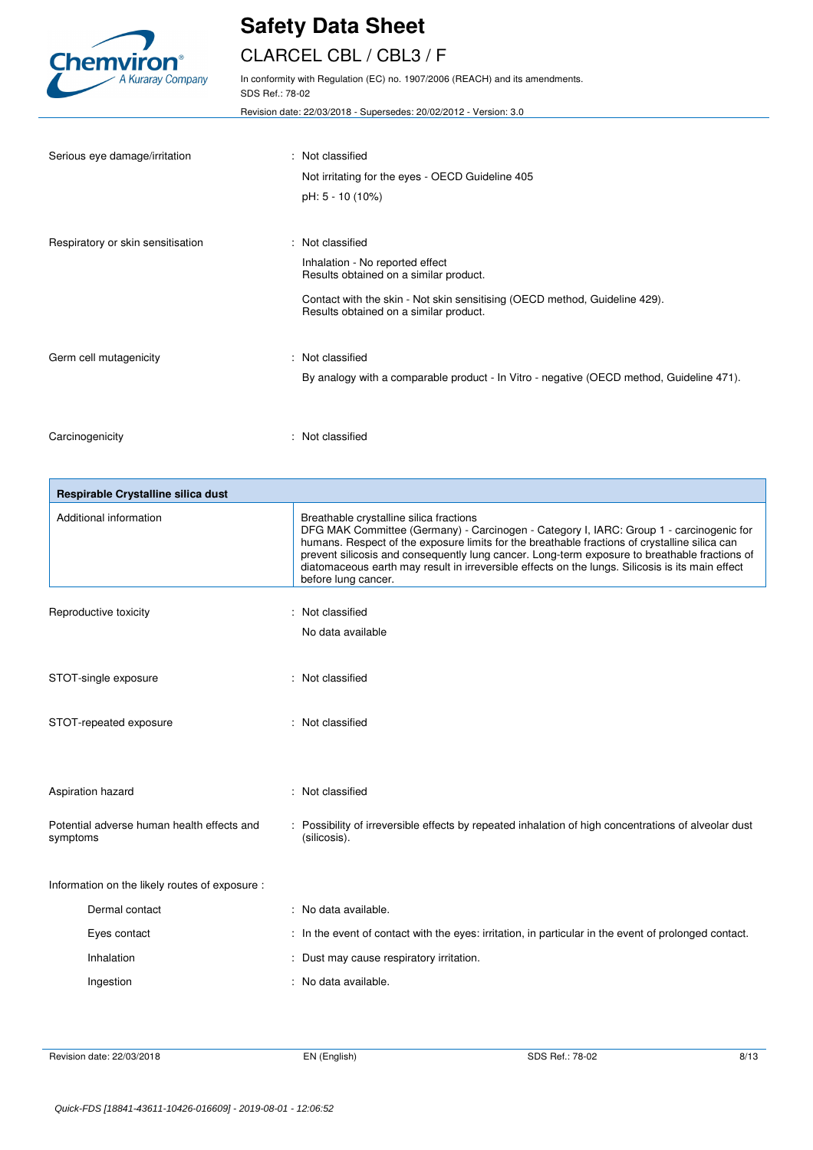

# CLARCEL CBL / CBL3 / F

In conformity with Regulation (EC) no. 1907/2006 (REACH) and its amendments. SDS Ref.: 78-02

Revision date: 22/03/2018 - Supersedes: 20/02/2012 - Version: 3.0

| Serious eye damage/irritation     | : Not classified<br>Not irritating for the eyes - OECD Guideline 405<br>pH: 5 - 10 (10%)                                                                                                                              |
|-----------------------------------|-----------------------------------------------------------------------------------------------------------------------------------------------------------------------------------------------------------------------|
| Respiratory or skin sensitisation | : Not classified<br>Inhalation - No reported effect<br>Results obtained on a similar product.<br>Contact with the skin - Not skin sensitising (OECD method, Guideline 429).<br>Results obtained on a similar product. |
| Germ cell mutagenicity            | : Not classified<br>By analogy with a comparable product - In Vitro - negative (OECD method, Guideline 471).                                                                                                          |
| Carcinogenicity                   | : Not classified                                                                                                                                                                                                      |

| Respirable Crystalline silica dust                     |                                                                                                                                                                                                                                                                                                                                                                                                                                                                 |
|--------------------------------------------------------|-----------------------------------------------------------------------------------------------------------------------------------------------------------------------------------------------------------------------------------------------------------------------------------------------------------------------------------------------------------------------------------------------------------------------------------------------------------------|
| Additional information                                 | Breathable crystalline silica fractions<br>DFG MAK Committee (Germany) - Carcinogen - Category I, IARC: Group 1 - carcinogenic for<br>humans. Respect of the exposure limits for the breathable fractions of crystalline silica can<br>prevent silicosis and consequently lung cancer. Long-term exposure to breathable fractions of<br>diatomaceous earth may result in irreversible effects on the lungs. Silicosis is its main effect<br>before lung cancer. |
| Reproductive toxicity                                  | : Not classified                                                                                                                                                                                                                                                                                                                                                                                                                                                |
|                                                        | No data available                                                                                                                                                                                                                                                                                                                                                                                                                                               |
|                                                        |                                                                                                                                                                                                                                                                                                                                                                                                                                                                 |
| STOT-single exposure                                   | : Not classified                                                                                                                                                                                                                                                                                                                                                                                                                                                |
| STOT-repeated exposure                                 | : Not classified                                                                                                                                                                                                                                                                                                                                                                                                                                                |
|                                                        |                                                                                                                                                                                                                                                                                                                                                                                                                                                                 |
| Aspiration hazard                                      | : Not classified                                                                                                                                                                                                                                                                                                                                                                                                                                                |
| Potential adverse human health effects and<br>symptoms | : Possibility of irreversible effects by repeated inhalation of high concentrations of alveolar dust<br>(silicosis).                                                                                                                                                                                                                                                                                                                                            |
|                                                        |                                                                                                                                                                                                                                                                                                                                                                                                                                                                 |
| Information on the likely routes of exposure :         |                                                                                                                                                                                                                                                                                                                                                                                                                                                                 |
| Dermal contact                                         | : No data available.                                                                                                                                                                                                                                                                                                                                                                                                                                            |
| Eyes contact                                           | : In the event of contact with the eyes: irritation, in particular in the event of prolonged contact.                                                                                                                                                                                                                                                                                                                                                           |
| Inhalation                                             | : Dust may cause respiratory irritation.                                                                                                                                                                                                                                                                                                                                                                                                                        |
| Ingestion                                              | : No data available.                                                                                                                                                                                                                                                                                                                                                                                                                                            |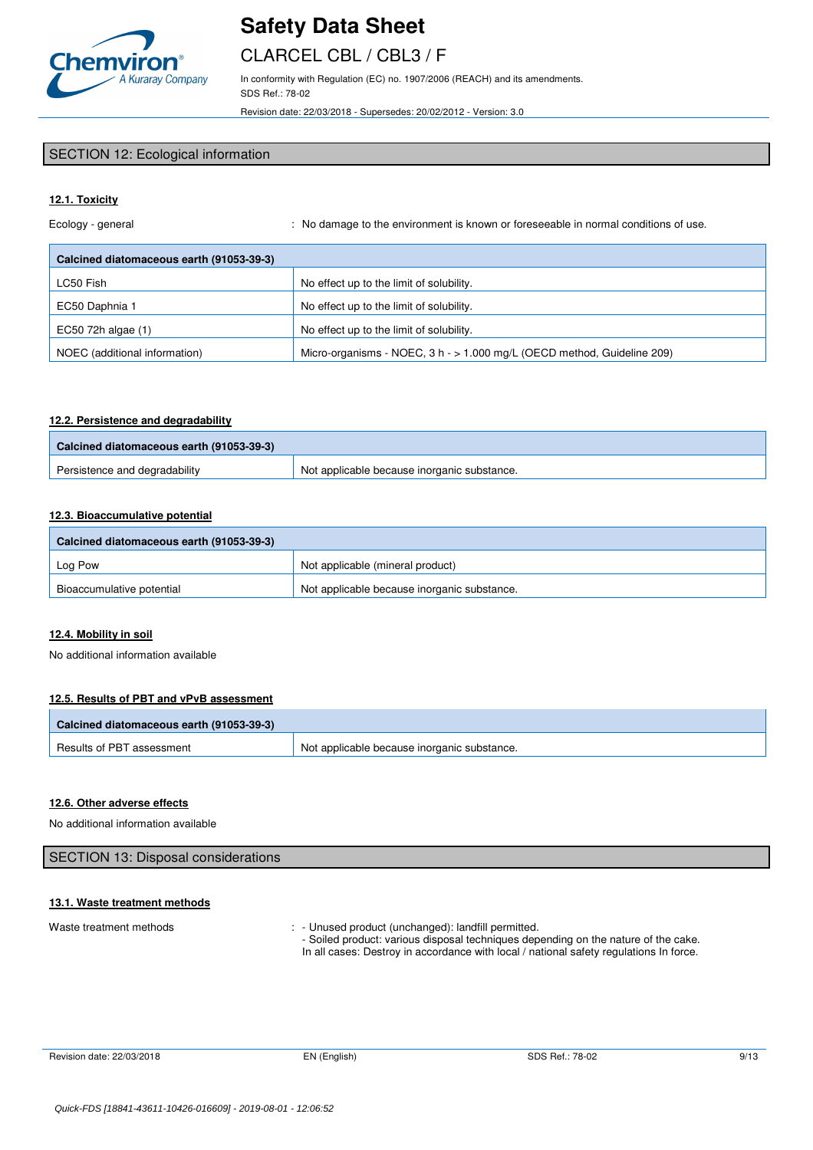

# CLARCEL CBL / CBL3 / F

In conformity with Regulation (EC) no. 1907/2006 (REACH) and its amendments. SDS Ref.: 78-02

Revision date: 22/03/2018 - Supersedes: 20/02/2012 - Version: 3.0

### SECTION 12: Ecological information

### **12.1. Toxicity**

Ecology - general **interpretatal in the environment** is known or foreseeable in normal conditions of use.

| Calcined diatomaceous earth (91053-39-3) |                                                                         |  |  |
|------------------------------------------|-------------------------------------------------------------------------|--|--|
| LC50 Fish                                | No effect up to the limit of solubility.                                |  |  |
| EC50 Daphnia 1                           | No effect up to the limit of solubility.                                |  |  |
| EC50 72h algae (1)                       | No effect up to the limit of solubility.                                |  |  |
| NOEC (additional information)            | Micro-organisms - NOEC, $3 h - 1.000$ mg/L (OECD method, Guideline 209) |  |  |

#### **12.2. Persistence and degradability**

| Calcined diatomaceous earth (91053-39-3) |                                             |
|------------------------------------------|---------------------------------------------|
| Persistence and degradability            | Not applicable because inorganic substance. |

## **12.3. Bioaccumulative potential**

| Calcined diatomaceous earth (91053-39-3) |                                             |  |
|------------------------------------------|---------------------------------------------|--|
| Log Pow                                  | Not applicable (mineral product)            |  |
| Bioaccumulative potential                | Not applicable because inorganic substance. |  |

## **12.4. Mobility in soil**

No additional information available

### **12.5. Results of PBT and vPvB assessment**

| Calcined diatomaceous earth (91053-39-3) |                                             |
|------------------------------------------|---------------------------------------------|
| Results of PBT assessment                | Not applicable because inorganic substance. |

### **12.6. Other adverse effects**

No additional information available

| SECTION 13: Disposal considerations |  |
|-------------------------------------|--|
|                                     |  |

### **13.1. Waste treatment methods**

Waste treatment methods : - Unused product (unchanged): landfill permitted.

- Soiled product: various disposal techniques depending on the nature of the cake. In all cases: Destroy in accordance with local / national safety regulations In force.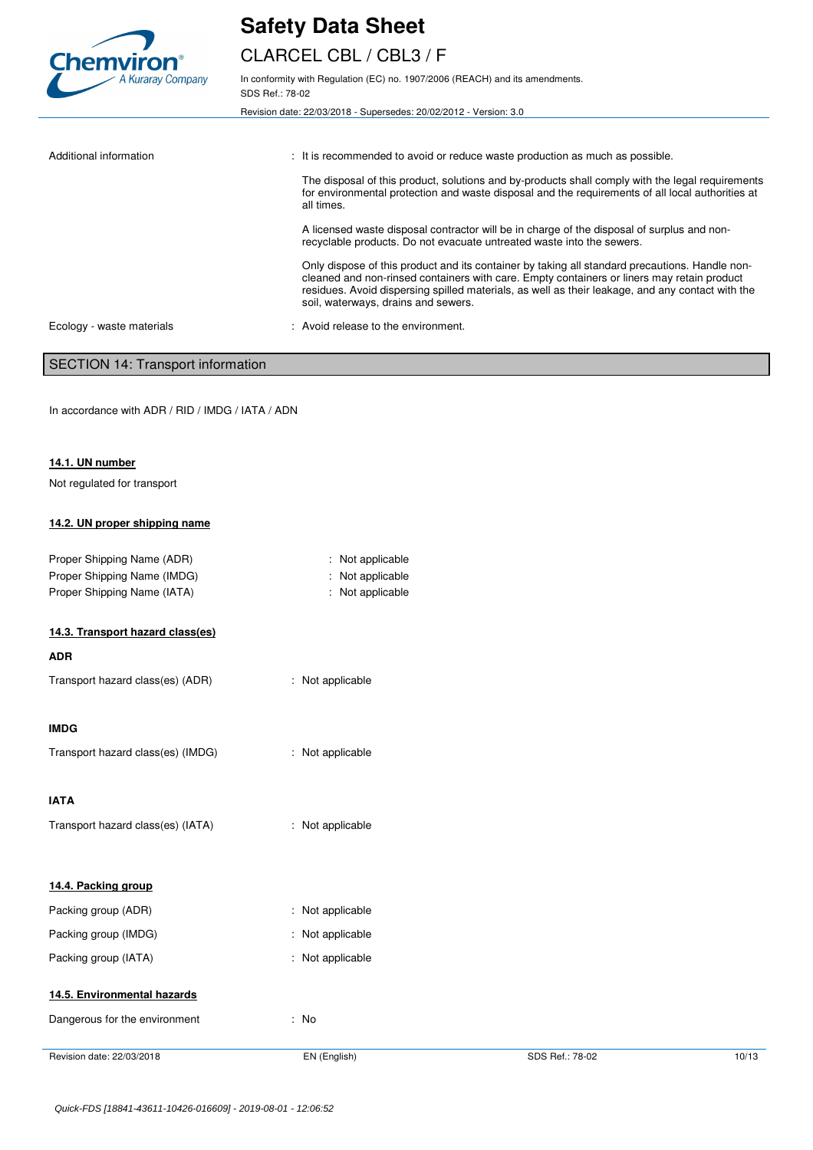

# CLARCEL CBL / CBL3 / F

In conformity with Regulation (EC) no. 1907/2006 (REACH) and its amendments. SDS Ref.: 78-02

Revision date: 22/03/2018 - Supersedes: 20/02/2012 - Version: 3.0

Additional information **interest in the commended** to avoid or reduce waste production as much as possible. The disposal of this product, solutions and by-products shall comply with the legal requirements for environmental protection and waste disposal and the requirements of all local authorities at all times. A licensed waste disposal contractor will be in charge of the disposal of surplus and nonrecyclable products. Do not evacuate untreated waste into the sewers. Only dispose of this product and its container by taking all standard precautions. Handle noncleaned and non-rinsed containers with care. Empty containers or liners may retain product residues. Avoid dispersing spilled materials, as well as their leakage, and any contact with the soil, waterways, drains and sewers. Ecology - waste materials : Avoid release to the environment.

### SECTION 14: Transport information

In accordance with ADR / RID / IMDG / IATA / ADN

#### **14.1. UN number**

Not regulated for transport

#### **14.2. UN proper shipping name**

| Proper Shipping Name (ADR)<br>Proper Shipping Name (IMDG) | : Not applicable<br>: Not applicable |
|-----------------------------------------------------------|--------------------------------------|
| Proper Shipping Name (IATA)                               | : Not applicable                     |
| 14.3. Transport hazard class(es)                          |                                      |

#### **ADR**

| Transport hazard class(es) (ADR)<br>: Not applicable |
|------------------------------------------------------|
|------------------------------------------------------|

#### **IMDG**

| Transport hazard class(es) (IMDG) | : Not applicable |
|-----------------------------------|------------------|
|                                   |                  |

## **IATA**

| Transport hazard class(es) (IATA) | : Not applicable |
|-----------------------------------|------------------|
|-----------------------------------|------------------|

|  |  | 14.4. Packing group |  |
|--|--|---------------------|--|
|--|--|---------------------|--|

| Packing group (ADR)  | : Not applicable            |
|----------------------|-----------------------------|
| Packing group (IMDG) | : Not applicable            |
| Packing group (IATA) | $\therefore$ Not applicable |

### **14.5. Environmental hazards**

| Dangerous for the environment |
|-------------------------------|
|-------------------------------|

Revision date: 22/03/2018 **EN (English)** EN (English) SDS Ref.: 78-02 10/13

: No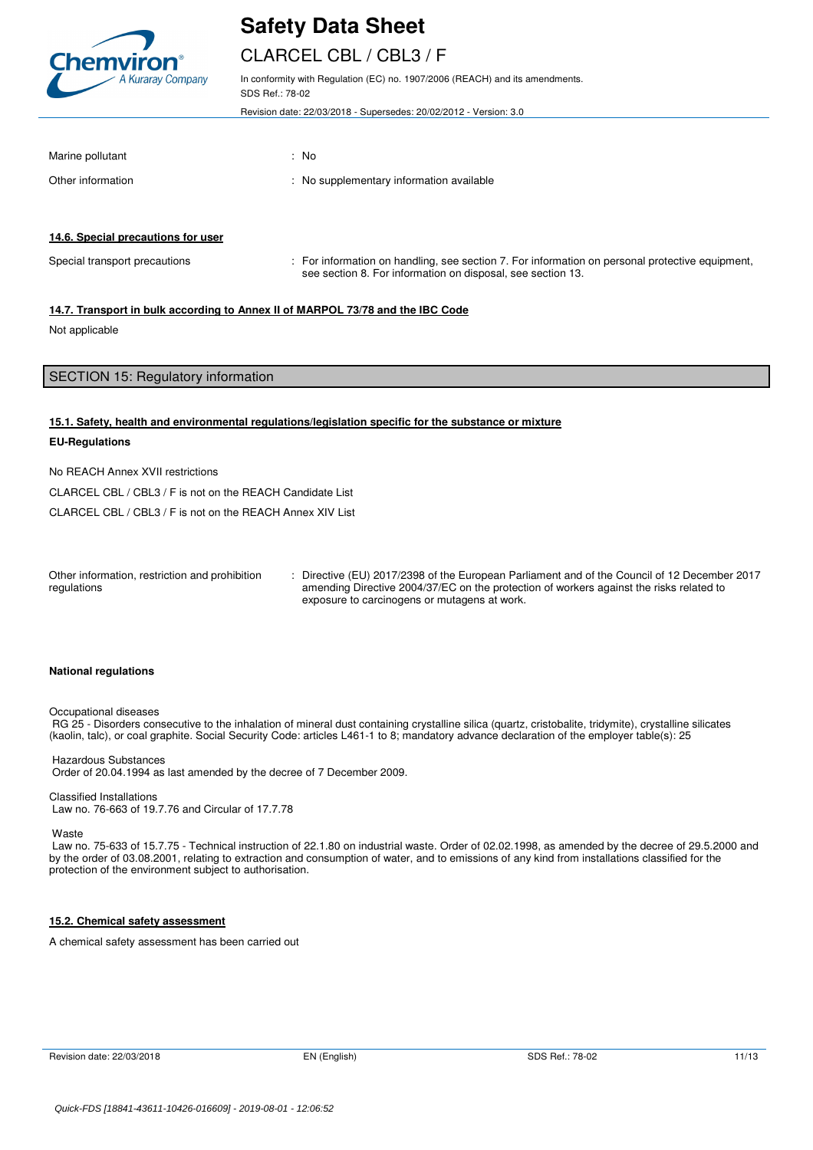

# CLARCEL CBL / CBL3 / F

In conformity with Regulation (EC) no. 1907/2006 (REACH) and its amendments. SDS Ref.: 78-02

Revision date: 22/03/2018 - Supersedes: 20/02/2012 - Version: 3.0

| Marine pollutant  | : No |                                          |
|-------------------|------|------------------------------------------|
| Other information |      | : No supplementary information available |

#### **14.6. Special precautions for user**

Special transport precautions : For information on handling, see section 7. For information on personal protective equipment, see section 8. For information on disposal, see section 13.

#### **14.7. Transport in bulk according to Annex II of MARPOL 73/78 and the IBC Code**

Not applicable

## SECTION 15: Regulatory information

#### **15.1. Safety, health and environmental regulations/legislation specific for the substance or mixture**

#### **EU-Regulations**

No REACH Annex XVII restrictions

CLARCEL CBL / CBL3 / F is not on the REACH Candidate List

CLARCEL CBL / CBL3 / F is not on the REACH Annex XIV List

| Other information, restriction and prohibition | : Directive (EU) 2017/2398 of the European Parliament and of the Council of 12 December 2017 |
|------------------------------------------------|----------------------------------------------------------------------------------------------|
| regulations                                    | amending Directive 2004/37/EC on the protection of workers against the risks related to      |
|                                                | exposure to carcinogens or mutagens at work.                                                 |

#### **National regulations**

Occupational diseases

RG 25 - Disorders consecutive to the inhalation of mineral dust containing crystalline silica (quartz, cristobalite, tridymite), crystalline silicates (kaolin, talc), or coal graphite. Social Security Code: articles L461-1 to 8; mandatory advance declaration of the employer table(s): 25

## Hazardous Substances Order of 20.04.1994 as last amended by the decree of 7 December 2009.

Classified Installations Law no. 76-663 of 19.7.76 and Circular of 17.7.78

Waste

 Law no. 75-633 of 15.7.75 - Technical instruction of 22.1.80 on industrial waste. Order of 02.02.1998, as amended by the decree of 29.5.2000 and by the order of 03.08.2001, relating to extraction and consumption of water, and to emissions of any kind from installations classified for the protection of the environment subject to authorisation.

#### **15.2. Chemical safety assessment**

A chemical safety assessment has been carried out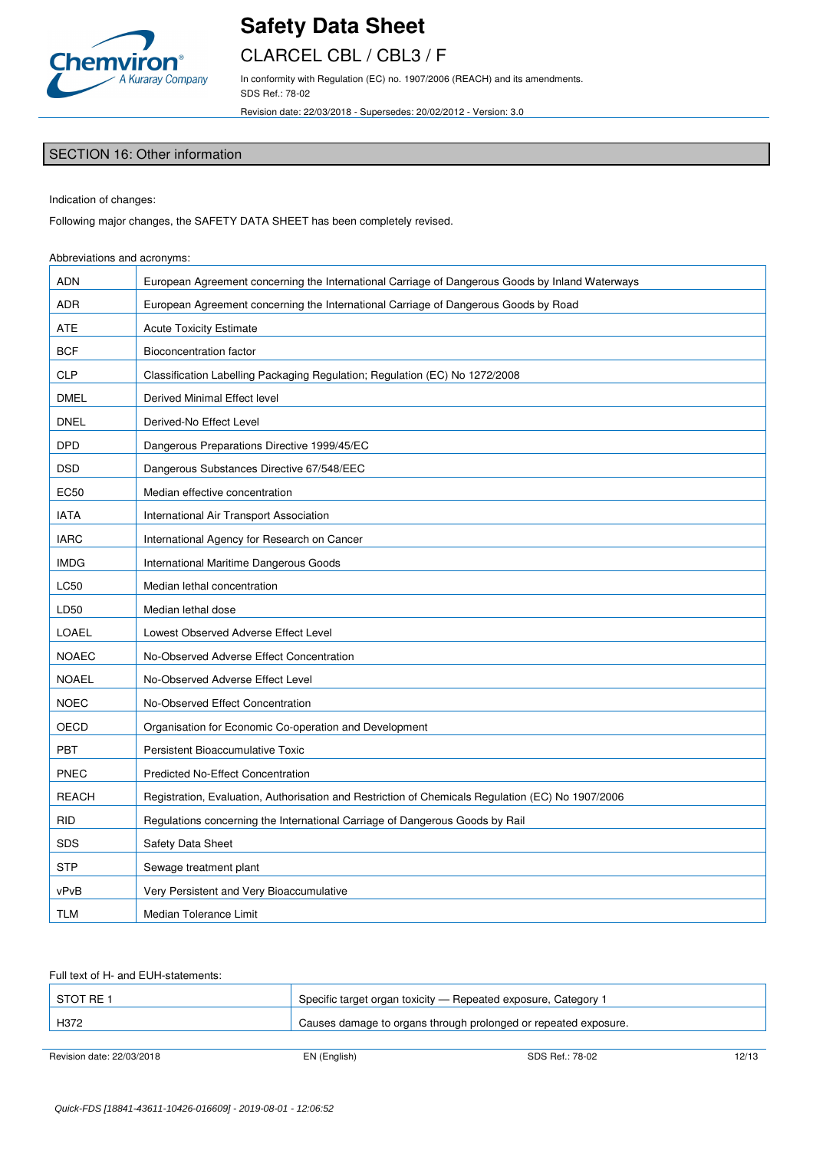

# CLARCEL CBL / CBL3 / F

In conformity with Regulation (EC) no. 1907/2006 (REACH) and its amendments. SDS Ref.: 78-02

Revision date: 22/03/2018 - Supersedes: 20/02/2012 - Version: 3.0

## SECTION 16: Other information

Indication of changes:

Following major changes, the SAFETY DATA SHEET has been completely revised.

### Abbreviations and acronyms:

| <b>ADN</b>   | European Agreement concerning the International Carriage of Dangerous Goods by Inland Waterways   |
|--------------|---------------------------------------------------------------------------------------------------|
| ADR          | European Agreement concerning the International Carriage of Dangerous Goods by Road               |
| ATE          | <b>Acute Toxicity Estimate</b>                                                                    |
| <b>BCF</b>   | Bioconcentration factor                                                                           |
| <b>CLP</b>   | Classification Labelling Packaging Regulation; Regulation (EC) No 1272/2008                       |
| <b>DMEL</b>  | Derived Minimal Effect level                                                                      |
| <b>DNEL</b>  | Derived-No Effect Level                                                                           |
| <b>DPD</b>   | Dangerous Preparations Directive 1999/45/EC                                                       |
| <b>DSD</b>   | Dangerous Substances Directive 67/548/EEC                                                         |
| <b>EC50</b>  | Median effective concentration                                                                    |
| <b>IATA</b>  | International Air Transport Association                                                           |
| <b>IARC</b>  | International Agency for Research on Cancer                                                       |
| <b>IMDG</b>  | International Maritime Dangerous Goods                                                            |
| <b>LC50</b>  | Median lethal concentration                                                                       |
| LD50         | Median lethal dose                                                                                |
| <b>LOAEL</b> | Lowest Observed Adverse Effect Level                                                              |
| <b>NOAEC</b> | No-Observed Adverse Effect Concentration                                                          |
| <b>NOAEL</b> | No-Observed Adverse Effect Level                                                                  |
| <b>NOEC</b>  | No-Observed Effect Concentration                                                                  |
| OECD         | Organisation for Economic Co-operation and Development                                            |
| <b>PBT</b>   | Persistent Bioaccumulative Toxic                                                                  |
| <b>PNEC</b>  | <b>Predicted No-Effect Concentration</b>                                                          |
| <b>REACH</b> | Registration, Evaluation, Authorisation and Restriction of Chemicals Regulation (EC) No 1907/2006 |
| <b>RID</b>   | Regulations concerning the International Carriage of Dangerous Goods by Rail                      |
| <b>SDS</b>   | Safety Data Sheet                                                                                 |
| <b>STP</b>   | Sewage treatment plant                                                                            |
| vPvB         | Very Persistent and Very Bioaccumulative                                                          |
| TLM          | Median Tolerance Limit                                                                            |

#### Full text of H- and EUH-statements:

| I STOT RE 1 | Specific target organ toxicity - Repeated exposure, Category 1  |
|-------------|-----------------------------------------------------------------|
| H372        | Causes damage to organs through prolonged or repeated exposure. |
|             |                                                                 |

Revision date: 22/03/2018 EN (English) EN (English) SDS Ref.: 78-02 12/13